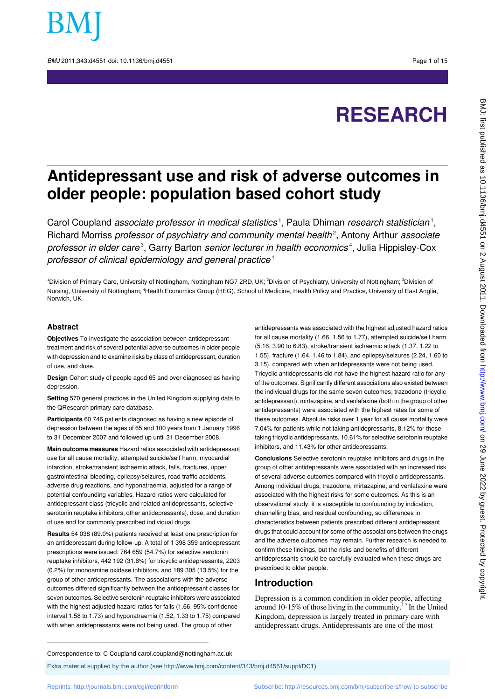

BMJ 2011:343:d4551 doi: 10.1136/bmi.d4551 example 1 of 15

# **RESEARCH**

## **Antidepressant use and risk of adverse outcomes in older people: population based cohort study**

Carol Coupland *associate professor in medical statistics*  $^1$ , Paula Dhiman *research statistician*  $^1$ , Richard Morriss *professor of psychiatry and community mental health<sup>2</sup>, Antony Arthur associate professor in elder care<sup>s</sup>,* Garry Barton *senior lecturer in health economics<sup>4</sup>, J*ulia Hippisley-Cox professor of clinical epidemiology and general practice<sup>1</sup>

<sup>1</sup>Division of Primary Care, University of Nottingham, Nottingham NG7 2RD, UK; <sup>2</sup>Division of Psychiatry, University of Nottingham; <sup>3</sup>Division of Nursing, University of Nottingham; <sup>4</sup>Health Economics Group (HEG), School of Medicine, Health Policy and Practice, University of East Anglia, Norwich, UK

#### **Abstract**

**Objectives** To investigate the association between antidepressant treatment and risk of several potential adverse outcomes in older people with depression and to examine risks by class of antidepressant, duration of use, and dose.

**Design** Cohort study of people aged 65 and over diagnosed as having depression.

**Setting** 570 general practices in the United Kingdom supplying data to the QResearch primary care database.

**Participants** 60 746 patients diagnosed as having a new episode of depression between the ages of 65 and 100 years from 1 January 1996 to 31 December 2007 and followed up until 31 December 2008.

**Main outcome measures** Hazard ratios associated with antidepressant use for all cause mortality, attempted suicide/self harm, myocardial infarction, stroke/transient ischaemic attack, falls, fractures, upper gastrointestinal bleeding, epilepsy/seizures, road traffic accidents, adverse drug reactions, and hyponatraemia, adjusted for a range of potential confounding variables. Hazard ratios were calculated for antidepressant class (tricyclic and related antidepressants, selective serotonin reuptake inhibitors, other antidepressants), dose, and duration of use and for commonly prescribed individual drugs.

**Results** 54 038 (89.0%) patients received at least one prescription for an antidepressant during follow-up. A total of 1 398 359 antidepressant prescriptions were issued: 764 659 (54.7%) for selective serotonin reuptake inhibitors, 442 192 (31.6%) for tricyclic antidepressants, 2203 (0.2%) for monoamine oxidase inhibitors, and 189 305 (13.5%) for the group of other antidepressants. The associations with the adverse outcomes differed significantly between the antidepressant classes for seven outcomes. Selective serotonin reuptake inhibitors were associated with the highest adjusted hazard ratios for falls (1.66, 95% confidence interval 1.58 to 1.73) and hyponatraemia (1.52, 1.33 to 1.75) compared with when antidepressants were not being used. The group of other

antidepressants was associated with the highest adjusted hazard ratios for all cause mortality (1.66, 1.56 to 1.77), attempted suicide/self harm (5.16, 3.90 to 6.83), stroke/transient ischaemic attack (1.37, 1.22 to 1.55), fracture (1.64, 1.46 to 1.84), and epilepsy/seizures (2.24, 1.60 to 3.15), compared with when antidepressants were not being used. Tricyclic antidepressants did not have the highest hazard ratio for any of the outcomes. Significantly different associations also existed between the individual drugs for the same seven outcomes; trazodone (tricyclic antidepressant), mirtazapine, and venlafaxine (both in the group of other antidepressants) were associated with the highest rates for some of these outcomes. Absolute risks over 1 year for all cause mortality were 7.04% for patients while not taking antidepressants, 8.12% for those taking tricyclic antidepressants, 10.61% for selective serotonin reuptake inhibitors, and 11.43% for other antidepressants.

**Conclusions** Selective serotonin reuptake inhibitors and drugs in the group of other antidepressants were associated with an increased risk of several adverse outcomes compared with tricyclic antidepressants. Among individual drugs, trazodone, mirtazapine, and venlafaxine were associated with the highest risks for some outcomes. As this is an observational study, it is susceptible to confounding by indication, channelling bias, and residual confounding, so differences in characteristics between patients prescribed different antidepressant drugs that could account for some of the associations between the drugs and the adverse outcomes may remain. Further research is needed to confirm these findings, but the risks and benefits of different antidepressants should be carefully evaluated when these drugs are prescribed to older people.

## **Introduction**

Depression is a common condition in older people, affecting around 10-15% of those living in the community.<sup>12</sup> In the United Kingdom, depression is largely treated in primary care with antidepressant drugs. Antidepressants are one of the most

#### Correspondence to: C Coupland carol.coupland@nottingham.ac.uk

Extra material supplied by the author (see [http://www.bmj.com/content/343/bmj.d4551/suppl/DC1\)](http://www.bmj.com/content/343/bmj.d4551/suppl/DC1)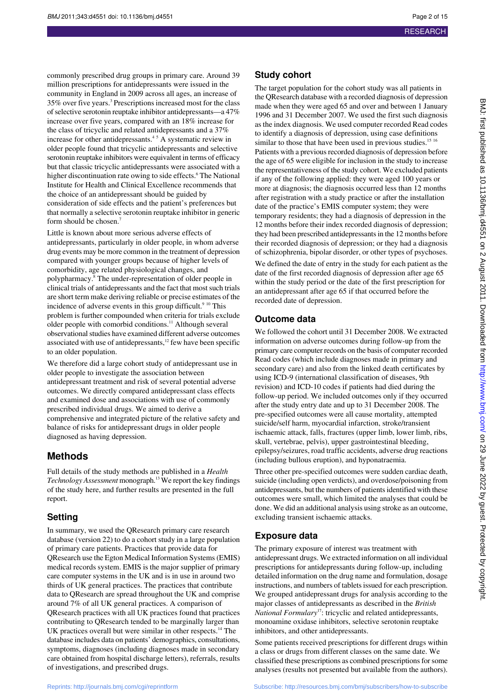commonly prescribed drug groups in primary care. Around 39 million prescriptions for antidepressants were issued in the community in England in 2009 across all ages, an increase of 35% over five years.<sup>3</sup> Prescriptions increased most for the class of selective serotonin reuptake inhibitor antidepressants—a 47% increase over five years, compared with an 18% increase for the class of tricyclic and related antidepressants and a 37% increase for other antidepressants.<sup>45</sup> A systematic review in older people found that tricyclic antidepressants and selective serotonin reuptake inhibitors were equivalent in terms of efficacy but that classic tricyclic antidepressants were associated with a higher discontinuation rate owing to side effects.<sup>6</sup> The National Institute for Health and Clinical Excellence recommends that the choice of an antidepressant should be guided by consideration of side effects and the patient's preferences but that normally a selective serotonin reuptake inhibitor in generic form should be chosen.<sup>7</sup>

Little is known about more serious adverse effects of antidepressants, particularly in older people, in whom adverse drug events may be more common in the treatment of depression compared with younger groups because of higher levels of comorbidity, age related physiological changes, and polypharmacy.<sup>8</sup> The under-representation of older people in clinical trials of antidepressants and the fact that most such trials are short term make deriving reliable or precise estimates of the incidence of adverse events in this group difficult.<sup>9 10</sup> This problem is further compounded when criteria for trials exclude older people with comorbid conditions.<sup>11</sup> Although several observational studies have examined different adverse outcomes associated with use of antidepressants, $^{12}$  few have been specific to an older population.

We therefore did a large cohort study of antidepressant use in older people to investigate the association between antidepressant treatment and risk of several potential adverse outcomes. We directly compared antidepressant class effects and examined dose and associations with use of commonly prescribed individual drugs. We aimed to derive a comprehensive and integrated picture of the relative safety and balance of risks for antidepressant drugs in older people diagnosed as having depression.

#### **Methods**

Full details of the study methods are published in a *Health Technology Assessment* monograph.<sup>13</sup> We report the key findings of the study here, and further results are presented in the full report.

#### **Setting**

In summary, we used the QResearch primary care research database (version 22) to do a cohort study in a large population of primary care patients. Practices that provide data for QResearch use the Egton Medical Information Systems (EMIS) medical records system. EMIS is the major supplier of primary care computer systems in the UK and is in use in around two thirds of UK general practices. The practices that contribute data to QResearch are spread throughout the UK and comprise around 7% of all UK general practices. A comparison of QResearch practices with all UK practices found that practices contributing to QResearch tended to be marginally larger than UK practices overall but were similar in other respects.<sup>14</sup> The database includes data on patients' demographics, consultations, symptoms, diagnoses (including diagnoses made in secondary care obtained from hospital discharge letters), referrals, results of investigations, and prescribed drugs.

## **Study cohort**

The target population for the cohort study was all patients in the QResearch database with a recorded diagnosis of depression made when they were aged 65 and over and between 1 January 1996 and 31 December 2007. We used the first such diagnosis as the index diagnosis. We used computer recorded Read codes to identify a diagnosis of depression, using case definitions similar to those that have been used in previous studies.<sup>15 16</sup> Patients with a previous recorded diagnosis of depression before the age of 65 were eligible for inclusion in the study to increase the representativeness of the study cohort. We excluded patients if any of the following applied: they were aged 100 years or more at diagnosis; the diagnosis occurred less than 12 months after registration with a study practice or after the installation date of the practice's EMIS computer system; they were temporary residents; they had a diagnosis of depression in the 12 months before their index recorded diagnosis of depression; they had been prescribed antidepressants in the 12 months before their recorded diagnosis of depression; or they had a diagnosis of schizophrenia, bipolar disorder, or other types of psychoses.

We defined the date of entry in the study for each patient as the date of the first recorded diagnosis of depression after age 65 within the study period or the date of the first prescription for an antidepressant after age 65 if that occurred before the recorded date of depression.

## **Outcome data**

We followed the cohort until 31 December 2008. We extracted information on adverse outcomes during follow-up from the primary care computer records on the basis of computer recorded Read codes (which include diagnoses made in primary and secondary care) and also from the linked death certificates by using ICD-9 (international classification of diseases, 9th revision) and ICD-10 codes if patients had died during the follow-up period. We included outcomes only if they occurred after the study entry date and up to 31 December 2008. The pre-specified outcomes were all cause mortality, attempted suicide/self harm, myocardial infarction, stroke/transient ischaemic attack, falls, fractures (upper limb, lower limb, ribs, skull, vertebrae, pelvis), upper gastrointestinal bleeding, epilepsy/seizures, road traffic accidents, adverse drug reactions (including bullous eruption), and hyponatraemia.

Three other pre-specified outcomes were sudden cardiac death, suicide (including open verdicts), and overdose/poisoning from antidepressants, but the numbers of patients identified with these outcomes were small, which limited the analyses that could be done. We did an additional analysis using stroke as an outcome, excluding transient ischaemic attacks.

#### **Exposure data**

The primary exposure of interest was treatment with antidepressant drugs. We extracted information on all individual prescriptions for antidepressants during follow-up, including detailed information on the drug name and formulation, dosage instructions, and numbers of tablets issued for each prescription. We grouped antidepressant drugs for analysis according to the major classes of antidepressants as described in the *British National Formulary*<sup>17</sup>: tricyclic and related antidepressants, monoamine oxidase inhibitors, selective serotonin reuptake inhibitors, and other antidepressants.

Some patients received prescriptions for different drugs within a class or drugs from different classes on the same date. We classified these prescriptions as combined prescriptions for some analyses (results not presented but available from the authors).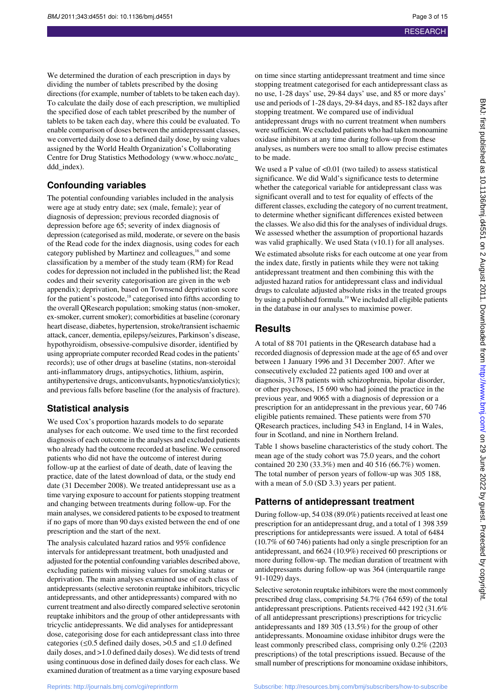We determined the duration of each prescription in days by dividing the number of tablets prescribed by the dosing directions (for example, number of tablets to be taken each day). To calculate the daily dose of each prescription, we multiplied the specified dose of each tablet prescribed by the number of tablets to be taken each day, where this could be evaluated. To enable comparison of doses between the antidepressant classes, we converted daily dose to a defined daily dose, by using values assigned by the World Health Organization's Collaborating Centre for Drug Statistics Methodology (www.whocc.no/atc\_ ddd\_index).

#### **Confounding variables**

The potential confounding variables included in the analysis were age at study entry date; sex (male, female); year of diagnosis of depression; previous recorded diagnosis of depression before age 65; severity of index diagnosis of depression (categorised as mild, moderate, or severe on the basis of the Read code for the index diagnosis, using codes for each category published by Martinez and colleagues,<sup>16</sup> and some classification by a member of the study team (RM) for Read codes for depression not included in the published list; the Read codes and their severity categorisation are given in the web appendix); deprivation, based on Townsend deprivation score for the patient's postcode,<sup>18</sup> categorised into fifths according to the overall QResearch population; smoking status (non-smoker, ex-smoker, current smoker); comorbidities at baseline (coronary heart disease, diabetes, hypertension, stroke/transient ischaemic attack, cancer, dementia, epilepsy/seizures, Parkinson's disease, hypothyroidism, obsessive-compulsive disorder, identified by using appropriate computer recorded Read codes in the patients' records); use of other drugs at baseline (statins, non-steroidal anti-inflammatory drugs, antipsychotics, lithium, aspirin, antihypertensive drugs, anticonvulsants, hypnotics/anxiolytics); and previous falls before baseline (for the analysis of fracture).

#### **Statistical analysis**

We used Cox's proportion hazards models to do separate analyses for each outcome. We used time to the first recorded diagnosis of each outcome in the analyses and excluded patients who already had the outcome recorded at baseline. We censored patients who did not have the outcome of interest during follow-up at the earliest of date of death, date of leaving the practice, date of the latest download of data, or the study end date (31 December 2008). We treated antidepressant use as a time varying exposure to account for patients stopping treatment and changing between treatments during follow-up. For the main analyses, we considered patients to be exposed to treatment if no gaps of more than 90 days existed between the end of one prescription and the start of the next.

The analysis calculated hazard ratios and 95% confidence intervals for antidepressant treatment, both unadjusted and adjusted for the potential confounding variables described above, excluding patients with missing values for smoking status or deprivation. The main analyses examined use of each class of antidepressants (selective serotonin reuptake inhibitors, tricyclic antidepressants, and other antidepressants) compared with no current treatment and also directly compared selective serotonin reuptake inhibitors and the group of other antidepressants with tricyclic antidepressants. We did analyses for antidepressant dose, categorising dose for each antidepressant class into three categories ( $\leq 0.5$  defined daily doses,  $> 0.5$  and  $\leq 1.0$  defined daily doses, and >1.0 defined daily doses). We did tests of trend using continuous dose in defined daily doses for each class. We examined duration of treatment as a time varying exposure based

on time since starting antidepressant treatment and time since stopping treatment categorised for each antidepressant class as no use, 1-28 days' use, 29-84 days' use, and 85 or more days' use and periods of 1-28 days, 29-84 days, and 85-182 days after stopping treatment. We compared use of individual antidepressant drugs with no current treatment when numbers were sufficient. We excluded patients who had taken monoamine oxidase inhibitors at any time during follow-up from these analyses, as numbers were too small to allow precise estimates to be made.

We used a P value of  $\leq 0.01$  (two tailed) to assess statistical significance. We did Wald's significance tests to determine whether the categorical variable for antidepressant class was significant overall and to test for equality of effects of the different classes, excluding the category of no current treatment, to determine whether significant differences existed between the classes. We also did this for the analyses of individual drugs. We assessed whether the assumption of proportional hazards was valid graphically. We used Stata (v10.1) for all analyses.

We estimated absolute risks for each outcome at one year from the index date, firstly in patients while they were not taking antidepressant treatment and then combining this with the adjusted hazard ratios for antidepressant class and individual drugs to calculate adjusted absolute risks in the treated groups by using a published formula.<sup>19</sup> We included all eligible patients in the database in our analyses to maximise power.

## **Results**

A total of 88 701 patients in the QResearch database had a recorded diagnosis of depression made at the age of 65 and over between 1 January 1996 and 31 December 2007. After we consecutively excluded 22 patients aged 100 and over at diagnosis, 3178 patients with schizophrenia, bipolar disorder, or other psychoses, 15 690 who had joined the practice in the previous year, and 9065 with a diagnosis of depression or a prescription for an antidepressant in the previous year, 60 746 eligible patients remained. These patients were from 570 QResearch practices, including 543 in England, 14 in Wales, four in Scotland, and nine in Northern Ireland.

Table 1 shows baseline characteristics of the study cohort. The mean age of the study cohort was 75.0 years, and the cohort contained 20 230 (33.3%) men and 40 516 (66.7%) women. The total number of person years of follow-up was 305 188, with a mean of 5.0 (SD 3.3) years per patient.

#### **Patterns of antidepressant treatment**

During follow-up, 54 038 (89.0%) patients received at least one prescription for an antidepressant drug, and a total of 1 398 359 prescriptions for antidepressants were issued. A total of 6484 (10.7% of 60 746) patients had only a single prescription for an antidepressant, and 6624 (10.9%) received 60 prescriptions or more during follow-up. The median duration of treatment with antidepressants during follow-up was 364 (interquartile range 91-1029) days.

Selective serotonin reuptake inhibitors were the most commonly prescribed drug class, comprising 54.7% (764 659) of the total antidepressant prescriptions. Patients received 442 192 (31.6% of all antidepressant prescriptions) prescriptions for tricyclic antidepressants and 189 305 (13.5%) for the group of other antidepressants. Monoamine oxidase inhibitor drugs were the least commonly prescribed class, comprising only 0.2% (2203 prescriptions) of the total prescriptions issued. Because of the small number of prescriptions for monoamine oxidase inhibitors,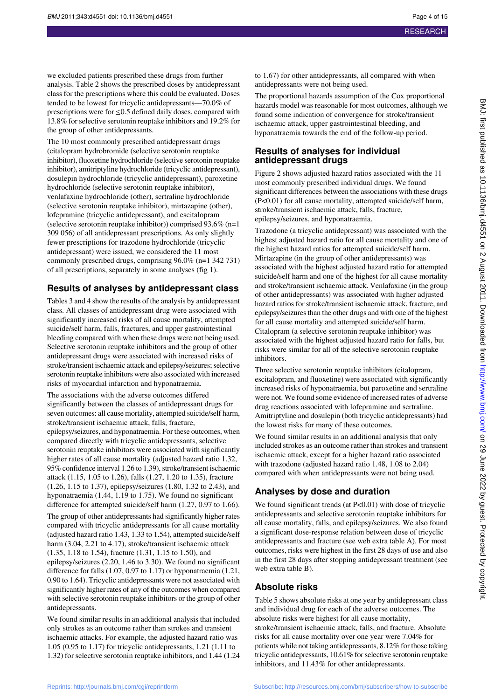we excluded patients prescribed these drugs from further analysis. Table 2 shows the prescribed doses by antidepressant class for the prescriptions where this could be evaluated. Doses tended to be lowest for tricyclic antidepressants—70.0% of prescriptions were for  $\leq 0.5$  defined daily doses, compared with 13.8% for selective serotonin reuptake inhibitors and 19.2% for the group of other antidepressants.

The 10 most commonly prescribed antidepressant drugs (citalopram hydrobromide (selective serotonin reuptake inhibitor), fluoxetine hydrochloride (selective serotonin reuptake inhibitor), amitriptyline hydrochloride (tricyclic antidepressant), dosulepin hydrochloride (tricyclic antidepressant), paroxetine hydrochloride (selective serotonin reuptake inhibitor), venlafaxine hydrochloride (other), sertraline hydrochloride (selective serotonin reuptake inhibitor), mirtazapine (other), lofepramine (tricyclic antidepressant), and escitalopram (selective serotonin reuptake inhibitor)) comprised 93.6% (n=1 309 056) of all antidepressant prescriptions. As only slightly fewer prescriptions for trazodone hydrochloride (tricyclic antidepressant) were issued, we considered the 11 most commonly prescribed drugs, comprising 96.0% (n=1 342 731) of all prescriptions, separately in some analyses (fig 1).

#### **Results of analyses by antidepressant class**

Tables 3 and 4 show the results of the analysis by antidepressant class. All classes of antidepressant drug were associated with significantly increased risks of all cause mortality, attempted suicide/self harm, falls, fractures, and upper gastrointestinal bleeding compared with when these drugs were not being used. Selective serotonin reuptake inhibitors and the group of other antidepressant drugs were associated with increased risks of stroke/transient ischaemic attack and epilepsy/seizures; selective serotonin reuptake inhibitors were also associated with increased risks of myocardial infarction and hyponatraemia.

The associations with the adverse outcomes differed significantly between the classes of antidepressant drugs for seven outcomes: all cause mortality, attempted suicide/self harm, stroke/transient ischaemic attack, falls, fracture, epilepsy/seizures, and hyponatraemia. For these outcomes, when compared directly with tricyclic antidepressants, selective serotonin reuptake inhibitors were associated with significantly higher rates of all cause mortality (adjusted hazard ratio 1.32, 95% confidence interval 1.26 to 1.39), stroke/transient ischaemic attack (1.15, 1.05 to 1.26), falls (1.27, 1.20 to 1.35), fracture (1.26, 1.15 to 1.37), epilepsy/seizures (1.80, 1.32 to 2.43), and hyponatraemia (1.44, 1.19 to 1.75). We found no significant difference for attempted suicide/self harm (1.27, 0.97 to 1.66).

The group of other antidepressants had significantly higher rates compared with tricyclic antidepressants for all cause mortality (adjusted hazard ratio 1.43, 1.33 to 1.54), attempted suicide/self harm (3.04, 2.21 to 4.17), stroke/transient ischaemic attack (1.35, 1.18 to 1.54), fracture (1.31, 1.15 to 1.50), and epilepsy/seizures (2.20, 1.46 to 3.30). We found no significant difference for falls (1.07, 0.97 to 1.17) or hyponatraemia (1.21, 0.90 to 1.64). Tricyclic antidepressants were not associated with significantly higher rates of any of the outcomes when compared with selective serotonin reuptake inhibitors or the group of other antidepressants.

We found similar results in an additional analysis that included only strokes as an outcome rather than strokes and transient ischaemic attacks. For example, the adjusted hazard ratio was 1.05 (0.95 to 1.17) for tricyclic antidepressants, 1.21 (1.11 to 1.32) for selective serotonin reuptake inhibitors, and 1.44 (1.24 to 1.67) for other antidepressants, all compared with when antidepressants were not being used.

The proportional hazards assumption of the Cox proportional hazards model was reasonable for most outcomes, although we found some indication of convergence for stroke/transient ischaemic attack, upper gastrointestinal bleeding, and hyponatraemia towards the end of the follow-up period.

#### **Results of analyses for individual antidepressant drugs**

Figure 2 shows adjusted hazard ratios associated with the 11 most commonly prescribed individual drugs. We found significant differences between the associations with these drugs (P<0.01) for all cause mortality, attempted suicide/self harm, stroke/transient ischaemic attack, falls, fracture, epilepsy/seizures, and hyponatraemia.

Trazodone (a tricyclic antidepressant) was associated with the highest adjusted hazard ratio for all cause mortality and one of the highest hazard ratios for attempted suicide/self harm. Mirtazapine (in the group of other antidepressants) was associated with the highest adjusted hazard ratio for attempted suicide/self harm and one of the highest for all cause mortality and stroke/transient ischaemic attack. Venlafaxine (in the group of other antidepressants) was associated with higher adjusted hazard ratios for stroke/transient ischaemic attack, fracture, and epilepsy/seizures than the other drugs and with one of the highest for all cause mortality and attempted suicide/self harm. Citalopram (a selective serotonin reuptake inhibitor) was associated with the highest adjusted hazard ratio for falls, but risks were similar for all of the selective serotonin reuptake inhibitors.

Three selective serotonin reuptake inhibitors (citalopram, escitalopram, and fluoxetine) were associated with significantly increased risks of hyponatraemia, but paroxetine and sertraline were not. We found some evidence of increased rates of adverse drug reactions associated with lofepramine and sertraline. Amitriptyline and dosulepin (both tricyclic antidepressants) had the lowest risks for many of these outcomes.

We found similar results in an additional analysis that only included strokes as an outcome rather than strokes and transient ischaemic attack, except for a higher hazard ratio associated with trazodone (adjusted hazard ratio 1.48, 1.08 to 2.04) compared with when antidepressants were not being used.

## **Analyses by dose and duration**

We found significant trends (at P<0.01) with dose of tricyclic antidepressants and selective serotonin reuptake inhibitors for all cause mortality, falls, and epilepsy/seizures. We also found a significant dose-response relation between dose of tricyclic antidepressants and fracture (see web extra table A). For most outcomes, risks were highest in the first 28 days of use and also in the first 28 days after stopping antidepressant treatment (see web extra table B).

## **Absolute risks**

Table 5 shows absolute risks at one year by antidepressant class and individual drug for each of the adverse outcomes. The absolute risks were highest for all cause mortality, stroke/transient ischaemic attack, falls, and fracture. Absolute risks for all cause mortality over one year were 7.04% for patients while not taking antidepressants, 8.12% for those taking tricyclic antidepressants, 10.61% for selective serotonin reuptake inhibitors, and 11.43% for other antidepressants.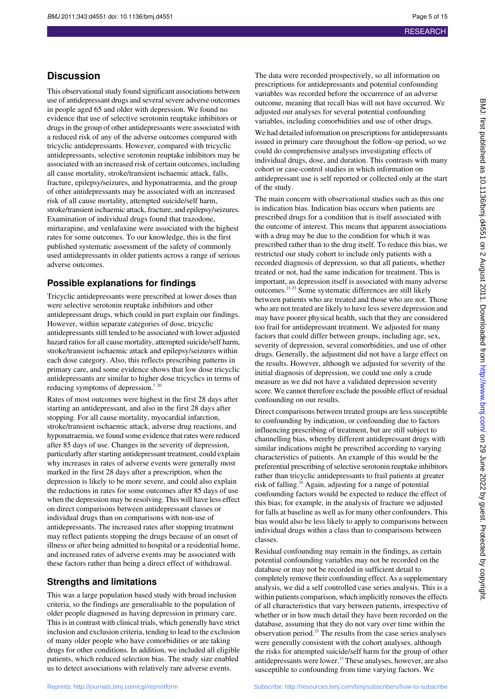## **Discussion**

This observational study found significant associations between use of antidepressant drugs and several severe adverse outcomes in people aged 65 and older with depression. We found no evidence that use of selective serotonin reuptake inhibitors or drugs in the group of other antidepressants were associated with a reduced risk of any of the adverse outcomes compared with tricyclic antidepressants. However, compared with tricyclic antidepressants, selective serotonin reuptake inhibitors may be associated with an increased risk of certain outcomes, including all cause mortality, stroke/transient ischaemic attack, falls, fracture, epilepsy/seizures, and hyponatraemia, and the group of other antidepressants may be associated with an increased risk of all cause mortality, attempted suicide/self harm, stroke/transient ischaemic attack, fracture, and epilepsy/seizures. Examination of individual drugs found that trazodone, mirtazapine, and venlafaxine were associated with the highest rates for some outcomes. To our knowledge, this is the first published systematic assessment of the safety of commonly used antidepressants in older patients across a range of serious adverse outcomes.

## **Possible explanations for findings**

Tricyclic antidepressants were prescribed at lower doses than were selective serotonin reuptake inhibitors and other antidepressant drugs, which could in part explain our findings. However, within separate categories of dose, tricyclic antidepressants still tended to be associated with lower adjusted hazard ratios for all cause mortality, attempted suicide/self harm, stroke/transient ischaemic attack and epilepsy/seizures within each dose category. Also, this reflects prescribing patterns in primary care, and some evidence shows that low dose tricyclic antidepressants are similar to higher dose tricyclics in terms of reducing symptoms of depression.<sup>7 20</sup>

Rates of most outcomes were highest in the first 28 days after starting an antidepressant, and also in the first 28 days after stopping. For all cause mortality, myocardial infarction, stroke/transient ischaemic attack, adverse drug reactions, and hyponatraemia, we found some evidence that rates were reduced after 85 days of use. Changes in the severity of depression, particularly after starting antidepressant treatment, could explain why increases in rates of adverse events were generally most marked in the first 28 days after a prescription, when the depression is likely to be more severe, and could also explain the reductions in rates for some outcomes after 85 days of use when the depression may be resolving. This will have less effect on direct comparisons between antidepressant classes or individual drugs than on comparisons with non-use of antidepressants. The increased rates after stopping treatment may reflect patients stopping the drugs because of an onset of illness or after being admitted to hospital or a residential home, and increased rates of adverse events may be associated with these factors rather than being a direct effect of withdrawal.

#### **Strengths and limitations**

This was a large population based study with broad inclusion criteria, so the findings are generalisable to the population of older people diagnosed as having depression in primary care. This is in contrast with clinical trials, which generally have strict inclusion and exclusion criteria, tending to lead to the exclusion of many older people who have comorbidities or are taking drugs for other conditions. In addition, we included all eligible patients, which reduced selection bias. The study size enabled us to detect associations with relatively rare adverse events.

The data were recorded prospectively, so all information on prescriptions for antidepressants and potential confounding variables was recorded before the occurrence of an adverse outcome, meaning that recall bias will not have occurred. We adjusted our analyses for several potential confounding variables, including comorbidities and use of other drugs.

We had detailed information on prescriptions for antidepressants issued in primary care throughout the follow-up period, so we could do comprehensive analyses investigating effects of individual drugs, dose, and duration. This contrasts with many cohort or case-control studies in which information on antidepressant use is self reported or collected only at the start of the study.

The main concern with observational studies such as this one is indication bias. Indication bias occurs when patients are prescribed drugs for a condition that is itself associated with the outcome of interest. This means that apparent associations with a drug may be due to the condition for which it was prescribed rather than to the drug itself. To reduce this bias, we restricted our study cohort to include only patients with a recorded diagnosis of depression, so that all patients, whether treated or not, had the same indication for treatment. This is important, as depression itself is associated with many adverse outcomes.21-23 Some systematic differences are still likely between patients who are treated and those who are not. Those who are not treated are likely to have less severe depression and may have poorer physical health, such that they are considered too frail for antidepressant treatment. We adjusted for many factors that could differ between groups, including age, sex, severity of depression, several comorbidities, and use of other drugs. Generally, the adjustment did not have a large effect on the results. However, although we adjusted for severity of the initial diagnosis of depression, we could use only a crude measure as we did not have a validated depression severity score. We cannot therefore exclude the possible effect of residual confounding on our results.

Direct comparisons between treated groups are less susceptible to confounding by indication, or confounding due to factors influencing prescribing of treatment, but are still subject to channelling bias, whereby different antidepressant drugs with similar indications might be prescribed according to varying characteristics of patients. An example of this would be the preferential prescribing of selective serotonin reuptake inhibitors rather than tricyclic antidepressants to frail patients at greater risk of falling.<sup>24</sup> Again, adjusting for a range of potential confounding factors would be expected to reduce the effect of this bias; for example, in the analysis of fracture we adjusted for falls at baseline as well as for many other confounders. This bias would also be less likely to apply to comparisons between individual drugs within a class than to comparisons between classes.

Residual confounding may remain in the findings, as certain potential confounding variables may not be recorded on the database or may not be recorded in sufficient detail to completely remove their confounding effect. As a supplementary analysis, we did a self controlled case series analysis. This is a within patients comparison, which implicitly removes the effects of all characteristics that vary between patients, irrespective of whether or in how much detail they have been recorded on the database, assuming that they do not vary over time within the observation period.<sup>25</sup> The results from the case series analyses were generally consistent with the cohort analyses, although the risks for attempted suicide/self harm for the group of other antidepressants were lower.<sup>13</sup> These analyses, however, are also susceptible to confounding from time varying factors. We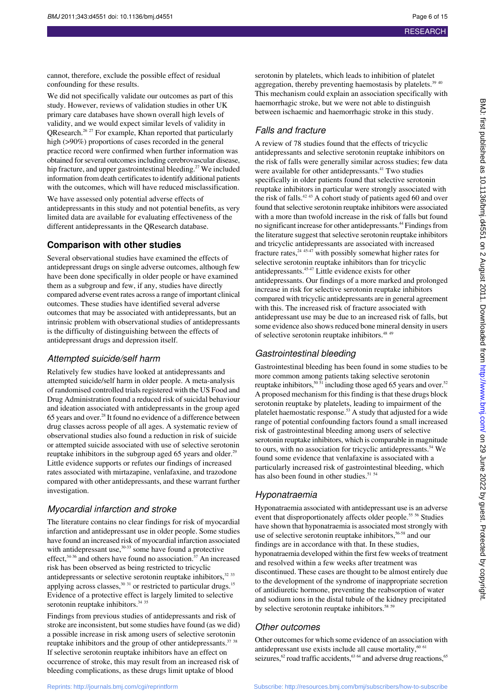cannot, therefore, exclude the possible effect of residual confounding for these results.

We did not specifically validate our outcomes as part of this study. However, reviews of validation studies in other UK primary care databases have shown overall high levels of validity, and we would expect similar levels of validity in QResearch.26 27 For example, Khan reported that particularly high (>90%) proportions of cases recorded in the general practice record were confirmed when further information was obtained for several outcomes including cerebrovascular disease, hip fracture, and upper gastrointestinal bleeding.<sup>27</sup> We included information from death certificates to identify additional patients with the outcomes, which will have reduced misclassification.

We have assessed only potential adverse effects of antidepressants in this study and not potential benefits, as very limited data are available for evaluating effectiveness of the different antidepressants in the QResearch database.

#### **Comparison with other studies**

Several observational studies have examined the effects of antidepressant drugs on single adverse outcomes, although few have been done specifically in older people or have examined them as a subgroup and few, if any, studies have directly compared adverse event rates across a range of important clinical outcomes. These studies have identified several adverse outcomes that may be associated with antidepressants, but an intrinsic problem with observational studies of antidepressants is the difficulty of distinguishing between the effects of antidepressant drugs and depression itself.

#### Attempted suicide/self harm

Relatively few studies have looked at antidepressants and attempted suicide/self harm in older people. A meta-analysis of randomised controlled trials registered with the US Food and Drug Administration found a reduced risk of suicidal behaviour and ideation associated with antidepressants in the group aged 65 years and over.<sup>28</sup> It found no evidence of a difference between drug classes across people of all ages. A systematic review of observational studies also found a reduction in risk of suicide or attempted suicide associated with use of selective serotonin reuptake inhibitors in the subgroup aged 65 years and older.<sup>29</sup> Little evidence supports or refutes our findings of increased rates associated with mirtazapine, venlafaxine, and trazodone compared with other antidepressants, and these warrant further investigation.

#### Myocardial infarction and stroke

The literature contains no clear findings for risk of myocardial infarction and antidepressant use in older people. Some studies have found an increased risk of myocardial infarction associated with antidepressant use, $30-33$  some have found a protective effect,  $34-36$  and others have found no association.  $37$  An increased risk has been observed as being restricted to tricyclic antidepressants or selective serotonin reuptake inhibitors, $32\,33$ applying across classes,<sup>30 31</sup> or restricted to particular drugs.<sup>15</sup> Evidence of a protective effect is largely limited to selective serotonin reuptake inhibitors.<sup>34 35</sup>

Findings from previous studies of antidepressants and risk of stroke are inconsistent, but some studies have found (as we did) a possible increase in risk among users of selective serotonin reuptake inhibitors and the group of other antidepressants.<sup>37</sup> <sup>38</sup> If selective serotonin reuptake inhibitors have an effect on occurrence of stroke, this may result from an increased risk of bleeding complications, as these drugs limit uptake of blood

serotonin by platelets, which leads to inhibition of platelet aggregation, thereby preventing haemostasis by platelets. $3940$ This mechanism could explain an association specifically with haemorrhagic stroke, but we were not able to distinguish between ischaemic and haemorrhagic stroke in this study.

## Falls and fracture

A review of 78 studies found that the effects of tricyclic antidepressants and selective serotonin reuptake inhibitors on the risk of falls were generally similar across studies; few data were available for other antidepressants.<sup>41</sup> Two studies specifically in older patients found that selective serotonin reuptake inhibitors in particular were strongly associated with the risk of falls.<sup>42,43</sup> A cohort study of patients aged 60 and over found that selective serotonin reuptake inhibitors were associated with a more than twofold increase in the risk of falls but found no significant increase for other antidepressants.<sup>44</sup> Findings from the literature suggest that selective serotonin reuptake inhibitors and tricyclic antidepressants are associated with increased fracture rates,24 45-47 with possibly somewhat higher rates for selective serotonin reuptake inhibitors than for tricyclic antidepressants.45-47 Little evidence exists for other antidepressants. Our findings of a more marked and prolonged increase in risk for selective serotonin reuptake inhibitors compared with tricyclic antidepressants are in general agreement with this. The increased risk of fracture associated with antidepressant use may be due to an increased risk of falls, but some evidence also shows reduced bone mineral density in users of selective serotonin reuptake inhibitors.<sup>48 49</sup>

#### Gastrointestinal bleeding

Gastrointestinal bleeding has been found in some studies to be more common among patients taking selective serotonin reuptake inhibitors,<sup>50 51</sup> including those aged 65 years and over.<sup>52</sup> A proposed mechanism for this finding is that these drugs block serotonin reuptake by platelets, leading to impairment of the platelet haemostatic response.<sup>53</sup> A study that adjusted for a wide range of potential confounding factors found a small increased risk of gastrointestinal bleeding among users of selective serotonin reuptake inhibitors, which is comparable in magnitude to ours, with no association for tricyclic antidepressants.<sup>54</sup> We found some evidence that venlafaxine is associated with a particularly increased risk of gastrointestinal bleeding, which has also been found in other studies.<sup>51 54</sup>

#### Hyponatraemia

Hyponatraemia associated with antidepressant use is an adverse event that disproportionately affects older people.<sup>55 56</sup> Studies have shown that hyponatraemia is associated most strongly with use of selective serotonin reuptake inhibitors,  $56-58$  and our findings are in accordance with that. In these studies, hyponatraemia developed within the first few weeks of treatment and resolved within a few weeks after treatment was discontinued. These cases are thought to be almost entirely due to the development of the syndrome of inappropriate secretion of antidiuretic hormone, preventing the reabsorption of water and sodium ions in the distal tubule of the kidney precipitated by selective serotonin reuptake inhibitors.<sup>58 59</sup>

#### Other outcomes

Other outcomes for which some evidence of an association with antidepressant use exists include all cause mortality, $60\,61$ seizures,<sup>62</sup> road traffic accidents,<sup>63 64</sup> and adverse drug reactions,<sup>65</sup>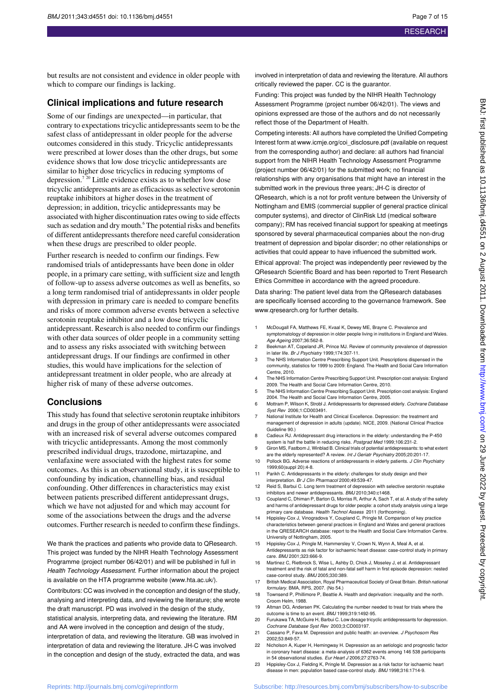but results are not consistent and evidence in older people with which to compare our findings is lacking.

#### **Clinical implications and future research**

Some of our findings are unexpected—in particular, that contrary to expectations tricyclic antidepressants seem to be the safest class of antidepressant in older people for the adverse outcomes considered in this study. Tricyclic antidepressants were prescribed at lower doses than the other drugs, but some evidence shows that low dose tricyclic antidepressants are similar to higher dose tricyclics in reducing symptoms of depression.7 20 Little evidence exists as to whether low dose tricyclic antidepressants are as efficacious as selective serotonin reuptake inhibitors at higher doses in the treatment of depression; in addition, tricyclic antidepressants may be associated with higher discontinuation rates owing to side effects such as sedation and dry mouth.<sup>6</sup> The potential risks and benefits of different antidepressants therefore need careful consideration when these drugs are prescribed to older people.

Further research is needed to confirm our findings. Few randomised trials of antidepressants have been done in older people, in a primary care setting, with sufficient size and length of follow-up to assess adverse outcomes as well as benefits, so a long term randomised trial of antidepressants in older people with depression in primary care is needed to compare benefits and risks of more common adverse events between a selective serotonin reuptake inhibitor and a low dose tricyclic antidepressant. Research is also needed to confirm our findings with other data sources of older people in a community setting and to assess any risks associated with switching between antidepressant drugs. If our findings are confirmed in other studies, this would have implications for the selection of antidepressant treatment in older people, who are already at higher risk of many of these adverse outcomes.

#### **Conclusions**

This study has found that selective serotonin reuptake inhibitors and drugs in the group of other antidepressants were associated with an increased risk of several adverse outcomes compared with tricyclic antidepressants. Among the most commonly prescribed individual drugs, trazodone, mirtazapine, and venlafaxine were associated with the highest rates for some outcomes. As this is an observational study, it is susceptible to confounding by indication, channelling bias, and residual confounding. Other differences in characteristics may exist between patients prescribed different antidepressant drugs, which we have not adjusted for and which may account for some of the associations between the drugs and the adverse outcomes. Further research is needed to confirm these findings.

We thank the practices and patients who provide data to QResearch. This project was funded by the NIHR Health Technology Assessment Programme (project number 06/42/01) and will be published in full in Health Technology Assessment. Further information about the project is available on the HTA programme website (www.hta.ac.uk/).

Contributors: CC was involved in the conception and design of the study, analysing and interpreting data, and reviewing the literature; she wrote the draft manuscript. PD was involved in the design of the study, statistical analysis, interpreting data, and reviewing the literature. RM and AA were involved in the conception and design of the study. interpretation of data, and reviewing the literature. GB was involved in interpretation of data and reviewing the literature. JH-C was involved in the conception and design of the study, extracted the data, and was involved in interpretation of data and reviewing the literature. All authors critically reviewed the paper. CC is the guarantor.

Funding: This project was funded by the NIHR Health Technology Assessment Programme (project number 06/42/01). The views and opinions expressed are those of the authors and do not necessarily reflect those of the Department of Health.

Competing interests: All authors have completed the Unified Competing Interest form at www.icmje.org/coi\_disclosure.pdf (available on request from the corresponding author) and declare: all authors had financial support from the NIHR Health Technology Assessment Programme (project number 06/42/01) for the submitted work; no financial relationships with any organisations that might have an interest in the submitted work in the previous three years; JH-C is director of QResearch, which is a not for profit venture between the University of Nottingham and EMIS (commercial supplier of general practice clinical computer systems), and director of ClinRisk Ltd (medical software company); RM has received financial support for speaking at meetings sponsored by several pharmaceutical companies about the non-drug treatment of depression and bipolar disorder; no other relationships or activities that could appear to have influenced the submitted work.

Ethical approval: The project was independently peer reviewed by the QResearch Scientific Board and has been reported to Trent Research Ethics Committee in accordance with the agreed procedure.

Data sharing: The patient level data from the QResearch databases are specifically licensed according to the governance framework. See www.qresearch.org for further details.

- 1 McDougall FA, Matthews FE, Kvaal K, Dewey ME, Brayne C. Prevalence and symptomatology of depression in older people living in institutions in England and Wales. Age Ageing 2007;36:562-8.
- 2 Beekman AT, Copeland JR, Prince MJ. Review of community prevalence of depression in later life. Br J Psychiatry 1999;174:307-11.
- 3 The NHS Information Centre Prescribing Support Unit. Prescriptions dispensed in the community, statistics for 1999 to 2009: England. The Health and Social Care Information Centre, 2010.
- 4 The NHS Information Centre Prescribing Support Unit. Prescription cost analysis: England 2009. The Health and Social Care Information Centre, 2010.
- 5 The NHS Information Centre Prescribing Support Unit. Prescription cost analysis: England 2004. The Health and Social Care Information Centre, 2005.
- 6 Mottram P, Wilson K, Strobl J. Antidepressants for depressed elderly. Cochrane Database Syst Rev 2006;1:CD003491.
- 7 National Institute for Health and Clinical Excellence. Depression: the treatment and management of depression in adults (update). NICE, 2009. (National Clinical Practice Guideline 90.)
- 8 Cadieux RJ. Antidepressant drug interactions in the elderly: understanding the P-450 system is half the battle in reducing risks. Postgrad Med 1999;106:231-2.
- 9 Giron MS, Fastbom J, Winblad B. Clinical trials of potential antidepressants: to what extent are the elderly represented? A review. Int J Geriatr Psychiatry 2005;20:201-17. 10 Pollock BG. Adverse reactions of antidepressants in elderly patients. J Clin Psychiatry
- 1999;60(suppl 20):4-8.
- 11 Parikh C. Antidepressants in the elderly: challenges for study design and their interpretation. Br J Clin Pharmacol 2000;49:539-47.
- 12 Reid S, Barbui C. Long term treatment of depression with selective serotonin reuptake inhibitors and newer antidepressants. BMJ 2010;340:c1468.
- 13 Coupland C, Dhiman P, Barton G, Morriss R, Arthur A, Sach T, et al. A study of the safety and harms of antidepressant drugs for older people: a cohort study analysis using a large primary care database. Health Technol Assess 2011 (forthcoming).
- 14 Hippisley-Cox J, Vinogradova Y, Coupland C, Pringle M. Comparison of key practice characteristics between general practices in England and Wales and general practices in the QRESEARCH database: report to the Health and Social Care Information Centre. University of Nottingham, 2005.
- 15 Hippisley-Cox J, Pringle M, Hammersley V, Crown N, Wynn A, Meal A, et al. Antidepressants as risk factor for ischaemic heart disease: case-control study in primary care. BMJ 2001;323:666-9.
- 16 Martinez C, Rietbrock S, Wise L, Ashby D, Chick J, Moseley J, et al. Antidepressant treatment and the risk of fatal and non-fatal self harm in first episode depression: nested case-control study. BMJ 2005;330:389.
- 17 British Medical Association, Royal Pharmaceutical Society of Great Britain. British national formulary. BMA, RPS, 2007. (No 54.)
- 18 Townsend P, Phillimore P, Beattie A. Health and deprivation: inequality and the north. Croom Helm, 1988.
- 19 Altman DG, Andersen PK. Calculating the number needed to treat for trials where the outcome is time to an event. BMJ 1999;319:1492-95.
- 20 Furukawa TA, McGuire H, Barbui C. Low dosage tricyclic antidepressants for depression. Cochrane Database Syst Rev 2003;3:CD003197.
- 21 Cassano P, Fava M. Depression and public health: an overview. J Psychosom Res 2002;53:849-57.
- 22 Nicholson A, Kuper H, Hemingway H. Depression as an aetiologic and prognostic factor in coronary heart disease: a meta-analysis of 6362 events among 146 538 participants in 54 observational studies. Eur Heart J 2006;27:2763-74.
- 23 Hippisley-Cox J, Fielding K, Pringle M. Depression as a risk factor for ischaemic heart disease in men: population based case-control study. BMJ 1998;316:1714-9.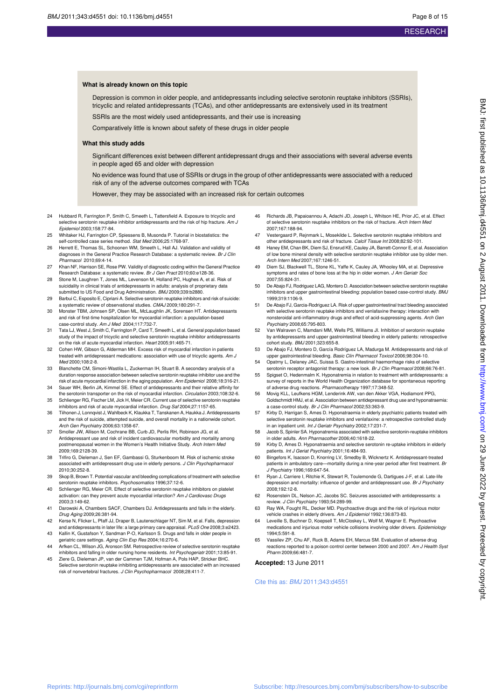#### **What is already known on this topic**

Depression is common in older people, and antidepressants including selective serotonin reuptake inhibitors (SSRIs), tricyclic and related antidepressants (TCAs), and other antidepressants are extensively used in its treatment

SSRIs are the most widely used antidepressants, and their use is increasing

Comparatively little is known about safety of these drugs in older people

#### **What this study adds**

Significant differences exist between different antidepressant drugs and their associations with several adverse events in people aged 65 and older with depression

No evidence was found that use of SSRIs or drugs in the group of other antidepressants were associated with a reduced risk of any of the adverse outcomes compared with TCAs

However, they may be associated with an increased risk for certain outcomes

- 24 Hubbard R, Farrington P, Smith C, Smeeth L, Tattersfield A. Exposure to tricyclic and selective serotonin reuptake inhibitor antidepressants and the risk of hip fracture. Am J Epidemiol 2003;158:77-84.
- 25 Whitaker HJ, Farrington CP, Spiessens B, Musonda P. Tutorial in biostatistics: the self-controlled case series method. Stat Med 2006;25:1768-97.
- 26 Herrett E, Thomas SL, Schoonen WM, Smeeth L, Hall AJ. Validation and validity of diagnoses in the General Practice Research Database: a systematic review. Br J Clin Pharmacol 2010;69:4-14.
- 27 Khan NF, Harrison SE, Rose PW. Validity of diagnostic coding within the General Practice Research Database: a systematic review. Br J Gen Pract 2010;60:e128-36.
- 28 Stone M, Laughren T, Jones ML, Levenson M, Holland PC, Hughes A, et al. Risk of suicidality in clinical trials of antidepressants in adults: analysis of proprietary data submitted to US Food and Drug Administration. BMJ 2009;339:b2880.
- 29 Barbui C, Esposito E, Cipriani A. Selective serotonin reuptake inhibitors and risk of suicide: a systematic review of observational studies. CMAJ 2009;180:291-7.
- 30 Monster TBM, Johnsen SP, Olsen ML, McLaughlin JK, Sorensen HT. Antidepressants and risk of first-time hospitalization for myocardial infarction: a population-based case-control study. Am J Med 2004;117:732-7.
- Tata LJ, West J, Smith C, Farrington P, Card T, Smeeth L, et al. General population based study of the impact of tricyclic and selective serotonin reuptake inhibitor antidepressants on the risk of acute myocardial infarction. Heart 2005;91:465-71.
- 32 Cohen HW, Gibson G, Alderman MH. Excess risk of myocardial infarction in patients treated with antidepressant medications: association with use of tricyclic agents. Am J Med 2000;108:2-8.
- 33 Blanchette CM, Simoni-Wastila L, Zuckerman IH, Stuart B. A secondary analysis of a duration response association between selective serotonin reuptake inhibitor use and the risk of acute myocardial infarction in the aging population. Ann Epidemiol 2008;18:316-21.
- 34 Sauer WH, Berlin JA, Kimmel SE. Effect of antidepressants and their relative affinity for the serotonin transporter on the risk of myocardial infarction. Circulation 2003;108:32-6.
- 35 Schlienger RG, Fischer LM, Jick H, Meier CR. Current use of selective serotonin reuptake inhibitors and risk of acute myocardial infarction. Drug Saf 2004;27:1157-65.
- 36 Tiihonen J, Lonnqvist J, Wahlbeck K, Klaukka T, Tanskanen A, Haukka J. Antidepressants and the risk of suicide, attempted suicide, and overall mortality in a nationwide cohort. Arch Gen Psychiatry 2006;63:1358-67.
- 37 Smoller JW, Allison M, Cochrane BB, Curb JD, Perlis RH, Robinson JG, et al. Antidepressant use and risk of incident cardiovascular morbidity and mortality among postmenopausal women in the Women's Health Initiative Study. Arch Intern Med 2009;169:2128-39.
- 38 Trifiro G, Dieleman J, Sen EF, Gambassi G, Sturkenboom M. Risk of ischemic stroke associated with antidepressant drug use in elderly persons. J Clin Psychopharmacol 2010;30:252-8.
- 39 Skop B, Brown T. Potential vascular and bleeding complications of treatment with selective serotonin reuptake inhibitors. Psychosomatics 1996;37:12-6.
- 40 Schlienger RG, Meier CR. Effect of selective serotonin reuptake inhibitors on platelet activation: can they prevent acute myocardial infarction? Am J Cardiovasc Drugs 2003;3:149-62.
- 41 Darowski A, Chambers SACF, Chambers DJ. Antidepressants and falls in the elderly. Drug Aging 2009;26:381-94.
- 42 Kerse N, Flicker L, Pfaff JJ, Draper B, Lautenschlager NT, Sim M, et al. Falls, depression and antidepressants in later life: a large primary care appraisal. PLoS One 2008;3:e2423.
- 43 Kallin K, Gustafson Y, Sandman P-O, Karlsson S. Drugs and falls in older people in geriatric care settings. Aging Clin Exp Res 2004;16:270-6. 44 Arfken CL, Wilson JG, Aronson SM. Retrospective review of selective serotonin reuptake
- inhibitors and falling in older nursing home residents. Int Psychogeriatr 2001;13:85-91.
- 45 Ziere G, Dieleman JP, van der Cammen TJM, Hofman A, Pols HAP, Stricker BHC. Selective serotonin reuptake inhibiting antidepressants are associated with an increased risk of nonvertebral fractures. J Clin Psychopharmacol 2008;28:411-7.
- 46 Richards JB, Papaioannou A, Adachi JD, Joseph L, Whitson HE, Prior JC, et al. Effect of selective serotonin reuptake inhibitors on the risk of fracture. Arch Intern Med 2007;167:188-94.
- 47 Vestergaard P, Rejnmark L, Mosekilde L. Selective serotonin reuptake inhibitors and other antidepressants and risk of fracture. Calcif Tissue Int 2008;82:92-101.
- 48 Haney EM, Chan BK, Diem SJ, Ensrud KE, Cauley JA, Barrett-Connor E, et al. Association of low bone mineral density with selective serotonin reuptake inhibitor use by older men. Arch Intern Med 2007;167:1246-51.
- 49 Diem SJ, Blackwell TL, Stone KL, Yaffe K, Cauley JA, Whooley MA, et al. Depressive symptoms and rates of bone loss at the hip in older women. J Am Geriatr Soc 2007;55:824-31.
- 50 De Abajo FJ, Rodriguez LAG, Montero D. Association between selective serotonin reuptake inhibitors and upper gastrointestinal bleeding: population based case-control study. BMJ 1999;319:1106-9.
- De Abajo FJ, Garcia-Rodriguez LA. Risk of upper gastrointestinal tract bleeding associated with selective serotonin reuptake inhibitors and venlafaxine therapy: interaction with nonsteroidal anti-inflammatory drugs and effect of acid-suppressing agents. Arch Gen Psychiatry 2008;65:795-803.
- Van Walraven C, Mamdani MM, Wells PS, Williams JI. Inhibition of serotonin reuptake by antidepressants and upper gastrointestinal bleeding in elderly patients: retrospective cohort study. BMJ 2001;323:655-8.
- De Abajo FJ, Montero D, García Rodríguez LA, Madurga M. Antidepressants and risk of upper gastrointestinal bleeding. Basic Clin Pharmacol Toxicol 2006;98:304-10. 54 Opatrny L, Delaney JAC, Suissa S. Gastro-intestinal haemorrhage risks of selective
- serotonin receptor antagonist therapy: a new look. Br J Clin Pharmacol 2008;66:76-81.
- 55 Spigset O, Hedenmalm K. Hyponatremia in relation to treatment with antidepressants: a survey of reports in the World Health Organization database for spontaneous reporting of adverse drug reactions. Pharmacotherapy 1997;17:348-52.
- 56 Movig KLL, Leufkens HGM, Lenderink AW, van den Akker VGA, Hodiamont PPG, Goldschmidt HMJ, et al. Association between antidepressant drug use and hyponatraemia: a case-control study. Br J Clin Pharmacol 2002;53:363-9.
- 57 Kirby D, Harrigan S, Ames D. Hyponatraemia in elderly psychiatric patients treated with selective serotonin reuptake inhibitors and venlafaxine: a retrospective controlled study in an inpatient unit. Int J Geriatr Psychiatry 2002;17:231-7.
- 58 Jacob S, Spinler SA. Hyponatremia associated with selective serotonin-reuptake inhibitors in older adults. Ann Pharmacother 2006;40:1618-22.
- 59 Kirby D, Ames D. Hyponatraemia and selective serotonin re-uptake inhibitors in elderly patients. Int J Geriat Psychiatry 2001;16:484-93.
- 60 Bingefors K, Isacson D, Knorring LV, Smedby B, Wicknertz K. Antidepressant-treated patients in ambulatory care—mortality during a nine-year period after first treatment. Br J Psychiatry 1996;169:647-54.
- 61 Ryan J, Carriere I, Ritchie K, Stewart R, Toulemonde G, Dartigues J-F, et al. Late-life depression and mortality: influence of gender and antidepressant use. Br J Psychiatry 2008;192:12-8.
- 62 Rosenstein DL, Nelson JC, Jacobs SC. Seizures associated with antidepressants: a review. J Clin Psychiatry 1993;54:289-99.
- 63 Ray WA, Fought RL, Decker MD. Psychoactive drugs and the risk of injurious motor vehicle crashes in elderly drivers. Am J Epidemiol 1992;136:873-83.
- 64 Leveille S, Buchner D, Koepsell T, McCloskey L, Wolf M, Wagner E. Psychoactive medications and injurious motor vehicle collisions involving older drivers. Epidemiology 1994;5:591-8.
- 65 Vassilev ZP, Chu AF, Ruck B, Adams EH, Marcus SM. Evaluation of adverse drug reactions reported to a poison control center between 2000 and 2007. Am J Health Syst Pharm 2009;66:481-7.

**Accepted:** 13 June 2011

Cite this as: BMJ 2011;343:d4551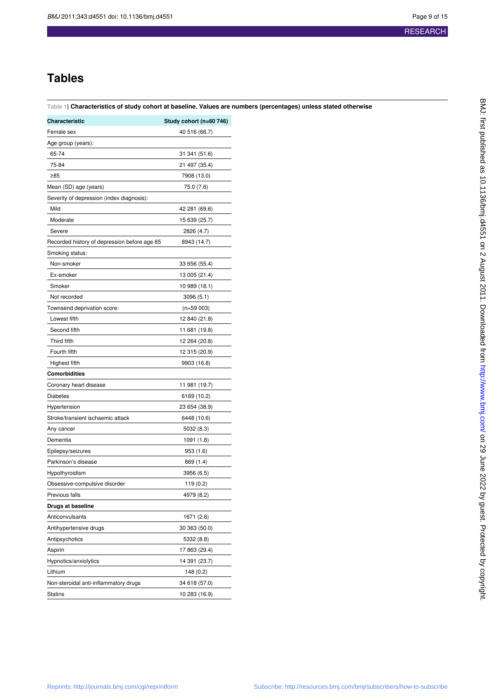## **Tables**

**Table 1| Characteristics of study cohort at baseline. Values are numbers (percentages) unless stated otherwise**

| Characteristic                               | Study cohort (n=60 746) |
|----------------------------------------------|-------------------------|
| Female sex                                   | 40 516 (66.7)           |
| Age group (years):                           |                         |
| 65-74                                        | 31 341 (51.6)           |
| 75-84                                        | 21 497 (35.4)           |
| $\geq 85$                                    | 7908 (13.0)             |
| Mean (SD) age (years)                        | 75.0 (7.6)              |
| Severity of depression (index diagnosis):    |                         |
| Mild                                         | 42 281 (69.6)           |
| Moderate                                     | 15 639 (25.7)           |
| Severe                                       | 2826 (4.7)              |
| Recorded history of depression before age 65 | 8943 (14.7)             |
| Smoking status:                              |                         |
| Non-smoker                                   | 33 656 (55.4)           |
| Ex-smoker                                    | 13 005 (21.4)           |
| Smoker                                       | 10 989 (18.1)           |
| Not recorded                                 | 3096 (5.1)              |
| Townsend deprivation score:                  | $(n=59003)$             |
| Lowest fifth                                 | 12 840 (21.8)           |
| Second fifth                                 | 11 681 (19.8)           |
| Third fifth                                  | 12 264 (20.8)           |
| Fourth fifth                                 | 12 315 (20.9)           |
| Highest fifth                                | 9903 (16.8)             |
| Comorbidities                                |                         |
| Coronary heart disease                       | 11 981 (19.7)           |
| Diabetes                                     | 6169 (10.2)             |
| Hypertension                                 | 23 654 (38.9)           |
| Stroke/transient ischaemic attack            | 6448 (10.6)             |
| Any cancer                                   | 5032 (8.3)              |
| Dementia                                     | 1091 (1.8)              |
| Epilepsy/seizures                            | 953 (1.6)               |
| Parkinson's disease                          | 869 (1.4)               |
| Hypothyroidism                               | 3956 (6.5)              |
| Obsessive-compulsive disorder                | 119 (0.2)               |
| Previous falls                               | 4979 (8.2)              |
| Drugs at baseline                            |                         |
| Anticonvulsants                              | 1671 (2.8)              |
| Antihypertensive drugs                       | 30 363 (50.0)           |
| Antipsychotics                               | 5332 (8.8)              |
| Aspirin                                      | 17 863 (29.4)           |
| Hypnotics/anxiolytics                        | 14 391 (23.7)           |
| Lithium                                      | 148 (0.2)               |
| Non-steroidal anti-inflammatory drugs        | 34 618 (57.0)           |
| Statins                                      | 10 283 (16.9)           |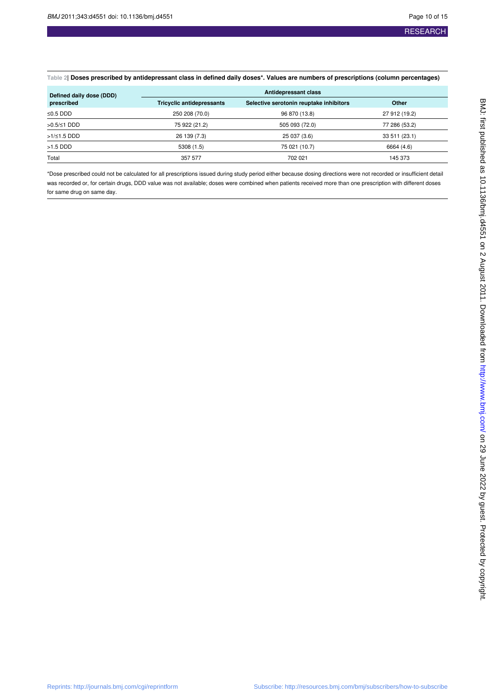#### **Table 2| Doses prescribed by antidepressant class in defined daily doses\*. Values are numbers of prescriptions (column percentages)**

| Defined daily dose (DDD)<br>prescribed | <b>Antidepressant class</b>      |                                         |               |  |  |  |  |
|----------------------------------------|----------------------------------|-----------------------------------------|---------------|--|--|--|--|
|                                        | <b>Tricyclic antidepressants</b> | Selective serotonin reuptake inhibitors | <b>Other</b>  |  |  |  |  |
| ≤0.5 DDD                               | 250 208 (70.0)                   | 96 870 (13.8)                           | 27 912 (19.2) |  |  |  |  |
| >0.5/≤1 DDD                            | 75 922 (21.2)                    | 505 093 (72.0)                          | 77 286 (53.2) |  |  |  |  |
| $>1/51.5$ DDD                          | 26 139 (7.3)                     | 25 037 (3.6)                            | 33 511 (23.1) |  |  |  |  |
| $>1.5$ DDD                             | 5308(1.5)                        | 75 021 (10.7)                           | 6664 (4.6)    |  |  |  |  |
| Total                                  | 357 577                          | 702 021                                 | 145 373       |  |  |  |  |

\*Dose prescribed could not be calculated for all prescriptions issued during study period either because dosing directions were not recorded or insufficient detail was recorded or, for certain drugs, DDD value was not available; doses were combined when patients received more than one prescription with different doses for same drug on same day.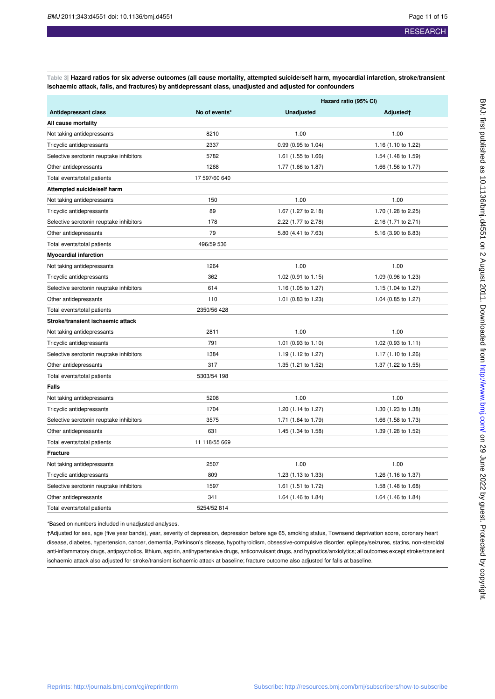**Table 3| Hazard ratios for six adverse outcomes (all cause mortality, attempted suicide/self harm, myocardial infarction, stroke/transient ischaemic attack, falls, and fractures) by antidepressant class, unadjusted and adjusted for confounders**

|                                         |               | Hazard ratio (95% CI) |                       |  |  |
|-----------------------------------------|---------------|-----------------------|-----------------------|--|--|
| <b>Antidepressant class</b>             | No of events* | <b>Unadjusted</b>     | Adjusted <sup>+</sup> |  |  |
| All cause mortality                     |               |                       |                       |  |  |
| Not taking antidepressants              | 8210          | 1.00                  | 1.00                  |  |  |
| Tricyclic antidepressants               | 2337          | 0.99 (0.95 to 1.04)   | 1.16 (1.10 to 1.22)   |  |  |
| Selective serotonin reuptake inhibitors | 5782          | 1.61 (1.55 to 1.66)   | 1.54 (1.48 to 1.59)   |  |  |
| Other antidepressants                   | 1268          | 1.77 (1.66 to 1.87)   | 1.66 (1.56 to 1.77)   |  |  |
| Total events/total patients             | 17 597/60 640 |                       |                       |  |  |
| Attempted suicide/self harm             |               |                       |                       |  |  |
| Not taking antidepressants              | 150           | 1.00                  | 1.00                  |  |  |
| Tricyclic antidepressants               | 89            | 1.67 (1.27 to 2.18)   | 1.70 (1.28 to 2.25)   |  |  |
| Selective serotonin reuptake inhibitors | 178           | 2.22 (1.77 to 2.78)   | 2.16 (1.71 to 2.71)   |  |  |
| Other antidepressants                   | 79            | 5.80 (4.41 to 7.63)   | 5.16 (3.90 to 6.83)   |  |  |
| Total events/total patients             | 496/59 536    |                       |                       |  |  |
| <b>Myocardial infarction</b>            |               |                       |                       |  |  |
| Not taking antidepressants              | 1264          | 1.00                  | 1.00                  |  |  |
| Tricyclic antidepressants               | 362           | 1.02 (0.91 to 1.15)   | 1.09 (0.96 to 1.23)   |  |  |
| Selective serotonin reuptake inhibitors | 614           | 1.16 (1.05 to 1.27)   | 1.15 (1.04 to 1.27)   |  |  |
| Other antidepressants                   | 110           | 1.01 (0.83 to 1.23)   | 1.04 (0.85 to 1.27)   |  |  |
| Total events/total patients             | 2350/56 428   |                       |                       |  |  |
| Stroke/transient ischaemic attack       |               |                       |                       |  |  |
| Not taking antidepressants              | 2811          | 1.00                  | 1.00                  |  |  |
| Tricyclic antidepressants               | 791           | 1.01 (0.93 to 1.10)   | 1.02 (0.93 to 1.11)   |  |  |
| Selective serotonin reuptake inhibitors | 1384          | 1.19 (1.12 to 1.27)   | 1.17 (1.10 to 1.26)   |  |  |
| Other antidepressants                   | 317           | 1.35 (1.21 to 1.52)   | 1.37 (1.22 to 1.55)   |  |  |
| Total events/total patients             | 5303/54 198   |                       |                       |  |  |
| <b>Falls</b>                            |               |                       |                       |  |  |
| Not taking antidepressants              | 5208          | 1.00                  | 1.00                  |  |  |
| Tricyclic antidepressants               | 1704          | 1.20 (1.14 to 1.27)   | 1.30 (1.23 to 1.38)   |  |  |
| Selective serotonin reuptake inhibitors | 3575          | 1.71 (1.64 to 1.79)   | 1.66 (1.58 to 1.73)   |  |  |
| Other antidepressants                   | 631           | 1.45 (1.34 to 1.58)   | 1.39 (1.28 to 1.52)   |  |  |
| Total events/total patients             | 11 118/55 669 |                       |                       |  |  |
| <b>Fracture</b>                         |               |                       |                       |  |  |
| Not taking antidepressants              | 2507          | 1.00                  | 1.00                  |  |  |
| Tricyclic antidepressants               | 809           | 1.23 (1.13 to 1.33)   | 1.26 (1.16 to 1.37)   |  |  |
| Selective serotonin reuptake inhibitors | 1597          | 1.61 (1.51 to 1.72)   | 1.58 (1.48 to 1.68)   |  |  |
| Other antidepressants                   | 341           | 1.64 (1.46 to 1.84)   | 1.64 (1.46 to 1.84)   |  |  |
| Total events/total patients             | 5254/52 814   |                       |                       |  |  |

\*Based on numbers included in unadjusted analyses.

†Adjusted for sex, age (five year bands), year, severity of depression, depression before age 65, smoking status, Townsend deprivation score, coronary heart disease, diabetes, hypertension, cancer, dementia, Parkinson's disease, hypothyroidism, obsessive-compulsive disorder, epilepsy/seizures, statins, non-steroidal anti-inflammatory drugs, antipsychotics, lithium, aspirin, antihypertensive drugs, anticonvulsant drugs, and hypnotics/anxiolytics; all outcomes except stroke/transient ischaemic attack also adjusted for stroke/transient ischaemic attack at baseline; fracture outcome also adjusted for falls at baseline.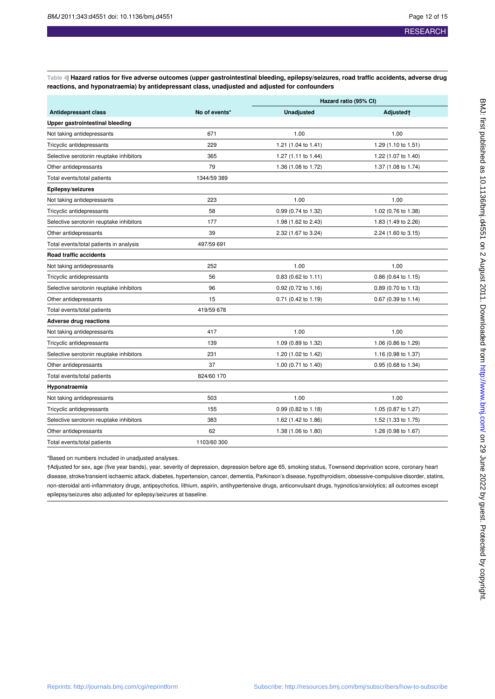**Table 4| Hazard ratios for five adverse outcomes (upper gastrointestinal bleeding, epilepsy/seizures, road traffic accidents, adverse drug reactions, and hyponatraemia) by antidepressant class, unadjusted and adjusted for confounders**

|                                           |               | Hazard ratio (95% CI) |                       |  |  |
|-------------------------------------------|---------------|-----------------------|-----------------------|--|--|
| <b>Antidepressant class</b>               | No of events* | <b>Unadjusted</b>     | Adjusted <sup>+</sup> |  |  |
| Upper gastrointestinal bleeding           |               |                       |                       |  |  |
| Not taking antidepressants                | 671           | 1.00                  | 1.00                  |  |  |
| Tricyclic antidepressants                 | 229           | 1.21 (1.04 to 1.41)   | 1.29 (1.10 to 1.51)   |  |  |
| Selective serotonin reuptake inhibitors   | 365           | 1.27 (1.11 to 1.44)   | 1.22 (1.07 to 1.40)   |  |  |
| Other antidepressants                     | 79            | 1.36 (1.08 to 1.72)   | 1.37 (1.08 to 1.74)   |  |  |
| Total events/total patients               | 1344/59 389   |                       |                       |  |  |
| Epilepsy/seizures                         |               |                       |                       |  |  |
| Not taking antidepressants                | 223           | 1.00                  | 1.00                  |  |  |
| Tricyclic antidepressants                 | 58            | 0.99 (0.74 to 1.32)   | 1.02 (0.76 to 1.38)   |  |  |
| Selective serotonin reuptake inhibitors   | 177           | 1.98 (1.62 to 2.43)   | 1.83 (1.49 to 2.26)   |  |  |
| Other antidepressants                     | 39            | 2.32 (1.67 to 3.24)   | 2.24 (1.60 to 3.15)   |  |  |
| Total events/total patients in analysis   | 497/59 691    |                       |                       |  |  |
| Road traffic accidents                    |               |                       |                       |  |  |
| Not taking antidepressants                | 252           | 1.00                  | 1.00                  |  |  |
| Tricyclic antidepressants                 | 56            | 0.83 (0.62 to 1.11)   | 0.86 (0.64 to 1.15)   |  |  |
| Selective serotonin reuptake inhibitors   | 96            | 0.92 (0.72 to 1.16)   | 0.89 (0.70 to 1.13)   |  |  |
| Other antidepressants                     | 15            | 0.71 (0.42 to 1.19)   | 0.67 (0.39 to 1.14)   |  |  |
| 419/59 678<br>Total events/total patients |               |                       |                       |  |  |
| <b>Adverse drug reactions</b>             |               |                       |                       |  |  |
| Not taking antidepressants                | 417           | 1.00                  | 1.00                  |  |  |
| Tricyclic antidepressants                 | 139           | 1.09 (0.89 to 1.32)   | 1.06 (0.86 to 1.29)   |  |  |
| Selective serotonin reuptake inhibitors   | 231           | 1.20 (1.02 to 1.42)   | 1.16 (0.98 to 1.37)   |  |  |
| Other antidepressants                     | 37            | 1.00 (0.71 to 1.40)   | 0.95 (0.68 to 1.34)   |  |  |
| Total events/total patients               | 824/60 170    |                       |                       |  |  |
| Hyponatraemia                             |               |                       |                       |  |  |
| Not taking antidepressants                | 503           | 1.00                  | 1.00                  |  |  |
| Tricyclic antidepressants                 | 155           | 0.99 (0.82 to 1.18)   | 1.05 (0.87 to 1.27)   |  |  |
| Selective serotonin reuptake inhibitors   | 383           | 1.62 (1.42 to 1.86)   | 1.52 (1.33 to 1.75)   |  |  |
| Other antidepressants                     | 62            | 1.38 (1.06 to 1.80)   | 1.28 (0.98 to 1.67)   |  |  |
| Total events/total patients               | 1103/60 300   |                       |                       |  |  |

\*Based on numbers included in unadjusted analyses.

†Adjusted for sex, age (five year bands), year, severity of depression, depression before age 65, smoking status, Townsend deprivation score, coronary heart disease, stroke/transient ischaemic attack, diabetes, hypertension, cancer, dementia, Parkinson's disease, hypothyroidism, obsessive-compulsive disorder, statins, non-steroidal anti-inflammatory drugs, antipsychotics, lithium, aspirin, antihypertensive drugs, anticonvulsant drugs, hypnotics/anxiolytics; all outcomes except epilepsy/seizures also adjusted for epilepsy/seizures at baseline.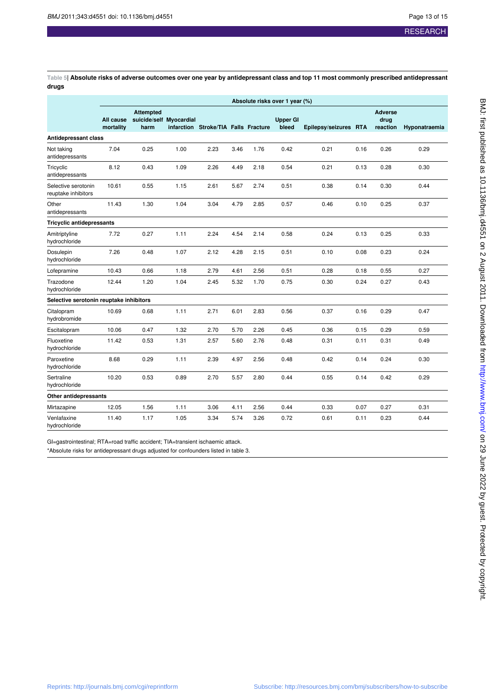**Table 5| Absolute risks of adverse outcomes over one year by antidepressant class and top 11 most commonly prescribed antidepressant drugs**

|                                            | Absolute risks over 1 year (%) |                                                     |      |                                      |      |      |                          |                       |      |                                    |               |
|--------------------------------------------|--------------------------------|-----------------------------------------------------|------|--------------------------------------|------|------|--------------------------|-----------------------|------|------------------------------------|---------------|
|                                            | All cause<br>mortality         | <b>Attempted</b><br>suicide/self Myocardial<br>harm |      | infarction Stroke/TIA Falls Fracture |      |      | <b>Upper GI</b><br>bleed | Epilepsy/seizures RTA |      | <b>Adverse</b><br>drua<br>reaction | Hyponatraemia |
| <b>Antidepressant class</b>                |                                |                                                     |      |                                      |      |      |                          |                       |      |                                    |               |
| Not taking<br>antidepressants              | 7.04                           | 0.25                                                | 1.00 | 2.23                                 | 3.46 | 1.76 | 0.42                     | 0.21                  | 0.16 | 0.26                               | 0.29          |
| Tricyclic<br>antidepressants               | 8.12                           | 0.43                                                | 1.09 | 2.26                                 | 4.49 | 2.18 | 0.54                     | 0.21                  | 0.13 | 0.28                               | 0.30          |
| Selective serotonin<br>reuptake inhibitors | 10.61                          | 0.55                                                | 1.15 | 2.61                                 | 5.67 | 2.74 | 0.51                     | 0.38                  | 0.14 | 0.30                               | 0.44          |
| Other<br>antidepressants                   | 11.43                          | 1.30                                                | 1.04 | 3.04                                 | 4.79 | 2.85 | 0.57                     | 0.46                  | 0.10 | 0.25                               | 0.37          |
| <b>Tricyclic antidepressants</b>           |                                |                                                     |      |                                      |      |      |                          |                       |      |                                    |               |
| Amitriptyline<br>hydrochloride             | 7.72                           | 0.27                                                | 1.11 | 2.24                                 | 4.54 | 2.14 | 0.58                     | 0.24                  | 0.13 | 0.25                               | 0.33          |
| Dosulepin<br>hydrochloride                 | 7.26                           | 0.48                                                | 1.07 | 2.12                                 | 4.28 | 2.15 | 0.51                     | 0.10                  | 0.08 | 0.23                               | 0.24          |
| Lofepramine                                | 10.43                          | 0.66                                                | 1.18 | 2.79                                 | 4.61 | 2.56 | 0.51                     | 0.28                  | 0.18 | 0.55                               | 0.27          |
| Trazodone<br>hydrochloride                 | 12.44                          | 1.20                                                | 1.04 | 2.45                                 | 5.32 | 1.70 | 0.75                     | 0.30                  | 0.24 | 0.27                               | 0.43          |
| Selective serotonin reuptake inhibitors    |                                |                                                     |      |                                      |      |      |                          |                       |      |                                    |               |
| Citalopram<br>hydrobromide                 | 10.69                          | 0.68                                                | 1.11 | 2.71                                 | 6.01 | 2.83 | 0.56                     | 0.37                  | 0.16 | 0.29                               | 0.47          |
| Escitalopram                               | 10.06                          | 0.47                                                | 1.32 | 2.70                                 | 5.70 | 2.26 | 0.45                     | 0.36                  | 0.15 | 0.29                               | 0.59          |
| Fluoxetine<br>hydrochloride                | 11.42                          | 0.53                                                | 1.31 | 2.57                                 | 5.60 | 2.76 | 0.48                     | 0.31                  | 0.11 | 0.31                               | 0.49          |
| Paroxetine<br>hydrochloride                | 8.68                           | 0.29                                                | 1.11 | 2.39                                 | 4.97 | 2.56 | 0.48                     | 0.42                  | 0.14 | 0.24                               | 0.30          |
| Sertraline<br>hydrochloride                | 10.20                          | 0.53                                                | 0.89 | 2.70                                 | 5.57 | 2.80 | 0.44                     | 0.55                  | 0.14 | 0.42                               | 0.29          |
| Other antidepressants                      |                                |                                                     |      |                                      |      |      |                          |                       |      |                                    |               |
| Mirtazapine                                | 12.05                          | 1.56                                                | 1.11 | 3.06                                 | 4.11 | 2.56 | 0.44                     | 0.33                  | 0.07 | 0.27                               | 0.31          |
| Venlafaxine<br>hydrochloride               | 11.40                          | 1.17                                                | 1.05 | 3.34                                 | 5.74 | 3.26 | 0.72                     | 0.61                  | 0.11 | 0.23                               | 0.44          |

GI=gastrointestinal; RTA=road traffic accident; TIA=transient ischaemic attack.

\*Absolute risks for antidepressant drugs adjusted for confounders listed in table 3.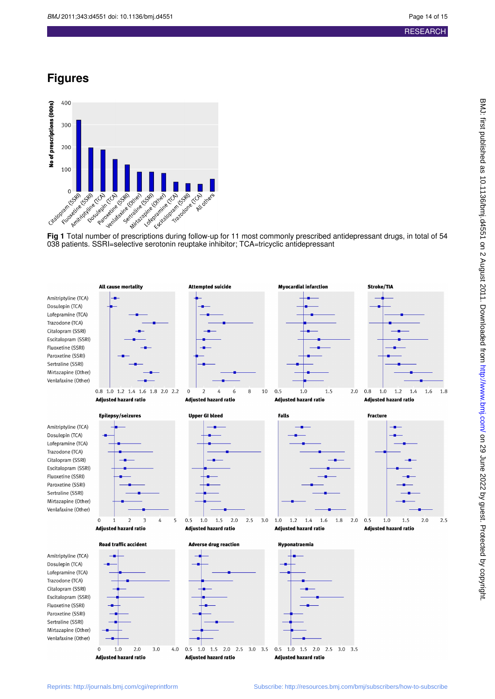## **Figures**



038 patients. SSRI=selective serotonin reuptake inhibitor; TCA=tricyclic antidepressant